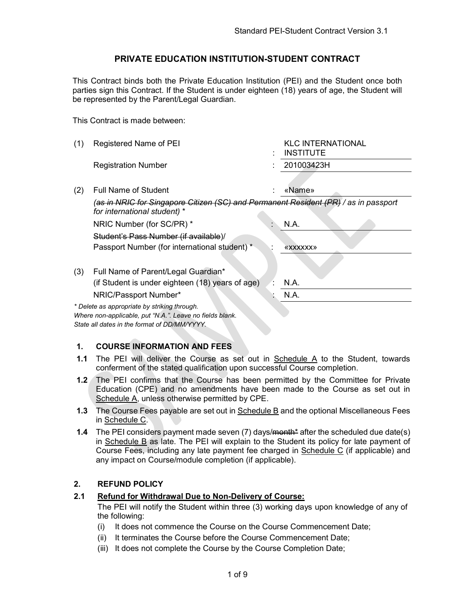#### PRIVATE EDUCATION INSTITUTION-STUDENT CONTRACT

This Contract binds both the Private Education Institution (PEI) and the Student once both parties sign this Contract. If the Student is under eighteen (18) years of age, the Student will be represented by the Parent/Legal Guardian.

This Contract is made between:

| (1) | Registered Name of PEI                                                                                                                                   | <b>KLC INTERNATIONAL</b><br><b>INSTITUTE</b> |
|-----|----------------------------------------------------------------------------------------------------------------------------------------------------------|----------------------------------------------|
|     | <b>Registration Number</b>                                                                                                                               | 201003423H                                   |
|     |                                                                                                                                                          |                                              |
| (2) | <b>Full Name of Student</b>                                                                                                                              | «Name»                                       |
|     | (as in NRIC for Singapore Citizen (SC) and Permanent Resident (PR) / as in passport<br>for international student) *                                      |                                              |
|     | NRIC Number (for SC/PR) *                                                                                                                                | N.A.                                         |
|     | Student's Pass Number (if available)/                                                                                                                    |                                              |
|     | Passport Number (for international student) *                                                                                                            | <b>«XXXXXXX»</b>                             |
|     |                                                                                                                                                          |                                              |
| (3) | Full Name of Parent/Legal Guardian*                                                                                                                      |                                              |
|     | (if Student is under eighteen (18) years of age)                                                                                                         | N.A.                                         |
|     | NRIC/Passport Number*                                                                                                                                    | N.A.                                         |
|     | * Delete as appropriate by striking through.<br>Where non-applicable, put "N.A.". Leave no fields blank.<br>State all dates in the format of DD/MM/YYYY. |                                              |

#### 1. COURSE INFORMATION AND FEES

- 1.1 The PEI will deliver the Course as set out in Schedule A to the Student, towards conferment of the stated qualification upon successful Course completion.
- 1.2 The PEI confirms that the Course has been permitted by the Committee for Private Education (CPE) and no amendments have been made to the Course as set out in Schedule A, unless otherwise permitted by CPE.
- 1.3 The Course Fees payable are set out in Schedule B and the optional Miscellaneous Fees in Schedule C.
- 1.4 The PEI considers payment made seven (7) days/<del>month\*</del> after the scheduled due date(s) in Schedule B as late. The PEI will explain to the Student its policy for late payment of Course Fees, including any late payment fee charged in Schedule C (if applicable) and any impact on Course/module completion (if applicable).

#### 2. REFUND POLICY

#### 2.1 Refund for Withdrawal Due to Non-Delivery of Course:

The PEI will notify the Student within three (3) working days upon knowledge of any of the following:

- (i) It does not commence the Course on the Course Commencement Date;
- (ii) It terminates the Course before the Course Commencement Date;
- (iii) It does not complete the Course by the Course Completion Date;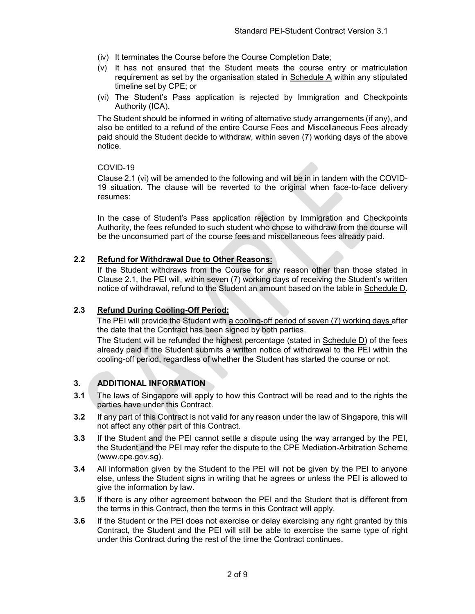- (iv) It terminates the Course before the Course Completion Date;
- (v) It has not ensured that the Student meets the course entry or matriculation requirement as set by the organisation stated in  $S$ chedule  $A$  within any stipulated timeline set by CPE; or
- (vi) The Student's Pass application is rejected by Immigration and Checkpoints Authority (ICA).

The Student should be informed in writing of alternative study arrangements (if any), and also be entitled to a refund of the entire Course Fees and Miscellaneous Fees already paid should the Student decide to withdraw, within seven (7) working days of the above notice.

#### COVID-19

Clause 2.1 (vi) will be amended to the following and will be in in tandem with the COVID-19 situation. The clause will be reverted to the original when face-to-face delivery resumes:

In the case of Student's Pass application rejection by Immigration and Checkpoints Authority, the fees refunded to such student who chose to withdraw from the course will be the unconsumed part of the course fees and miscellaneous fees already paid.

#### 2.2 Refund for Withdrawal Due to Other Reasons:

If the Student withdraws from the Course for any reason other than those stated in Clause 2.1, the PEI will, within seven (7) working days of receiving the Student's written notice of withdrawal, refund to the Student an amount based on the table in Schedule D.

#### 2.3 Refund During Cooling-Off Period:

The PEI will provide the Student with a cooling-off period of seven (7) working days after the date that the Contract has been signed by both parties.

The Student will be refunded the highest percentage (stated in Schedule D) of the fees already paid if the Student submits a written notice of withdrawal to the PEI within the cooling-off period, regardless of whether the Student has started the course or not.

#### 3. ADDITIONAL INFORMATION

- 3.1 The laws of Singapore will apply to how this Contract will be read and to the rights the parties have under this Contract.
- 3.2 If any part of this Contract is not valid for any reason under the law of Singapore, this will not affect any other part of this Contract.
- 3.3 If the Student and the PEI cannot settle a dispute using the way arranged by the PEI, the Student and the PEI may refer the dispute to the CPE Mediation-Arbitration Scheme (www.cpe.gov.sg).
- 3.4 All information given by the Student to the PEI will not be given by the PEI to anyone else, unless the Student signs in writing that he agrees or unless the PEI is allowed to give the information by law.
- 3.5 If there is any other agreement between the PEI and the Student that is different from the terms in this Contract, then the terms in this Contract will apply.
- 3.6 If the Student or the PEI does not exercise or delay exercising any right granted by this Contract, the Student and the PEI will still be able to exercise the same type of right under this Contract during the rest of the time the Contract continues.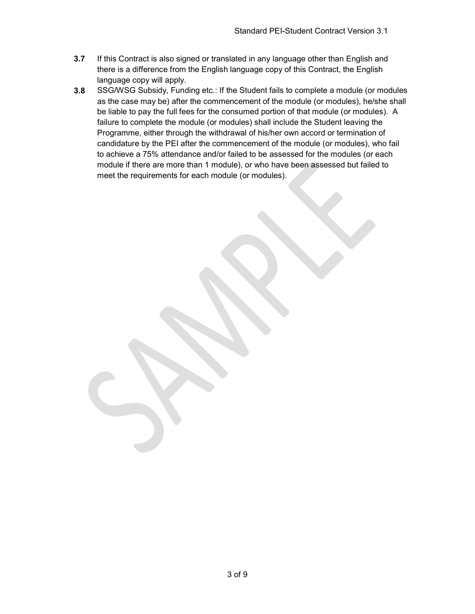- 3.7 If this Contract is also signed or translated in any language other than English and there is a difference from the English language copy of this Contract, the English language copy will apply.
- 3.8 SSG/WSG Subsidy, Funding etc.: If the Student fails to complete a module (or modules as the case may be) after the commencement of the module (or modules), he/she shall be liable to pay the full fees for the consumed portion of that module (or modules). A failure to complete the module (or modules) shall include the Student leaving the Programme, either through the withdrawal of his/her own accord or termination of candidature by the PEI after the commencement of the module (or modules), who fail to achieve a 75% attendance and/or failed to be assessed for the modules (or each module if there are more than 1 module), or who have been assessed but failed to meet the requirements for each module (or modules).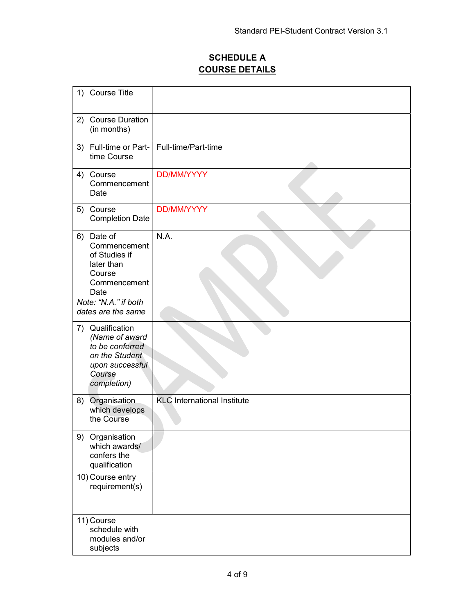# SCHEDULE A COURSE DETAILS

| 1) Course Title                                                                                                        |                                    |
|------------------------------------------------------------------------------------------------------------------------|------------------------------------|
| <b>Course Duration</b><br>2)<br>(in months)                                                                            |                                    |
| 3) Full-time or Part-<br>time Course                                                                                   | Full-time/Part-time                |
| 4) Course<br>Commencement<br>Date                                                                                      | <b>DD/MM/YYYY</b>                  |
| Course<br>5)<br><b>Completion Date</b>                                                                                 | <b>DD/MM/YYYY</b>                  |
| Date of<br>6)<br>Commencement<br>of Studies if<br>later than<br>Course<br>Commencement<br>Date<br>Note: "N.A." if both | N.A.                               |
| dates are the same                                                                                                     |                                    |
| 7) Qualification<br>(Name of award<br>to be conferred<br>on the Student<br>upon successful<br>Course<br>completion)    |                                    |
| Organisation<br>8)<br>which develops<br>the Course                                                                     | <b>KLC</b> International Institute |
| 9) Organisation<br>which awards/<br>confers the<br>qualification                                                       |                                    |
| 10) Course entry<br>requirement(s)                                                                                     |                                    |
| 11) Course<br>schedule with<br>modules and/or<br>subjects                                                              |                                    |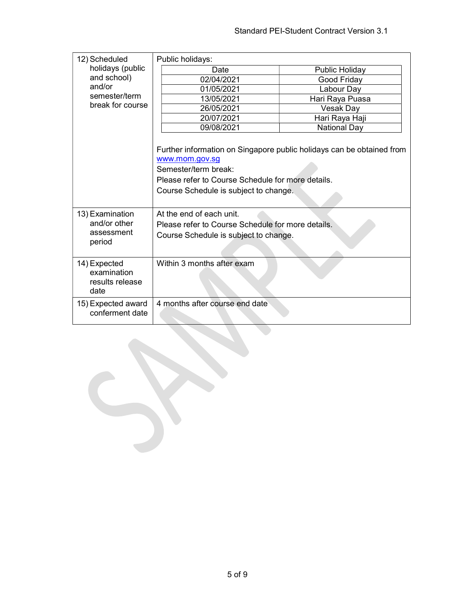| 12) Scheduled                                          | Public holidays:                                                                                                                                                                                              |                       |  |
|--------------------------------------------------------|---------------------------------------------------------------------------------------------------------------------------------------------------------------------------------------------------------------|-----------------------|--|
| holidays (public                                       | Date                                                                                                                                                                                                          | <b>Public Holiday</b> |  |
| and school)                                            | 02/04/2021                                                                                                                                                                                                    | Good Friday           |  |
| and/or                                                 | 01/05/2021                                                                                                                                                                                                    | Labour Day            |  |
| semester/term                                          | 13/05/2021                                                                                                                                                                                                    | Hari Raya Puasa       |  |
| break for course                                       | 26/05/2021                                                                                                                                                                                                    | <b>Vesak Day</b>      |  |
|                                                        | 20/07/2021                                                                                                                                                                                                    | Hari Raya Haji        |  |
|                                                        | 09/08/2021                                                                                                                                                                                                    | <b>National Day</b>   |  |
|                                                        | Further information on Singapore public holidays can be obtained from<br>www.mom.gov.sg<br>Semester/term break:<br>Please refer to Course Schedule for more details.<br>Course Schedule is subject to change. |                       |  |
| 13) Examination                                        | At the end of each unit.                                                                                                                                                                                      |                       |  |
| and/or other                                           | Please refer to Course Schedule for more details.                                                                                                                                                             |                       |  |
| assessment<br>period                                   | Course Schedule is subject to change.                                                                                                                                                                         |                       |  |
| 14) Expected<br>examination<br>results release<br>date | Within 3 months after exam                                                                                                                                                                                    |                       |  |
| 15) Expected award<br>conferment date                  | 4 months after course end date                                                                                                                                                                                |                       |  |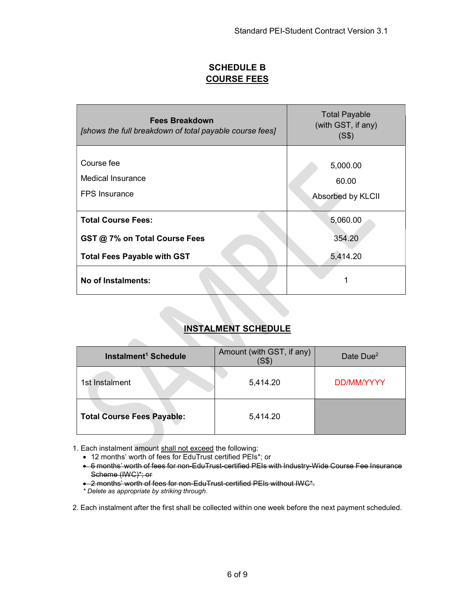# SCHEDULE B COURSE FEES

| Fees Breakdown<br>[shows the full breakdown of total payable course fees] | <b>Total Payable</b><br>(with GST, if any)<br>(S\$) |
|---------------------------------------------------------------------------|-----------------------------------------------------|
| Course fee<br><b>Medical Insurance</b><br><b>FPS</b> Insurance            | 5,000.00<br>60.00<br>Absorbed by KLCII              |
| <b>Total Course Fees:</b>                                                 | 5,060.00                                            |
| GST @ 7% on Total Course Fees                                             | 354.20                                              |
| <b>Total Fees Payable with GST</b>                                        | 5,414.20                                            |
| No of Instalments:                                                        |                                                     |

## INSTALMENT SCHEDULE

| Instalment <sup>1</sup> Schedule  | Amount (with GST, if any)<br>SS | Date $Due2$ |
|-----------------------------------|---------------------------------|-------------|
| 1st Instalment                    | 5,414.20                        | DD/MM/YYYY  |
| <b>Total Course Fees Payable:</b> | 5,414.20                        |             |

1. Each instalment amount shall not exceed the following:

12 months' worth of fees for EduTrust certified PEIs\*; or

 6 months' worth of fees for non-EduTrust-certified PEIs with Industry-Wide Course Fee Insurance Scheme (IWC)\*; or

2 months' worth of fees for non-EduTrust-certified PEIs without IWC\*.

\* Delete as appropriate by striking through.

2. Each instalment after the first shall be collected within one week before the next payment scheduled.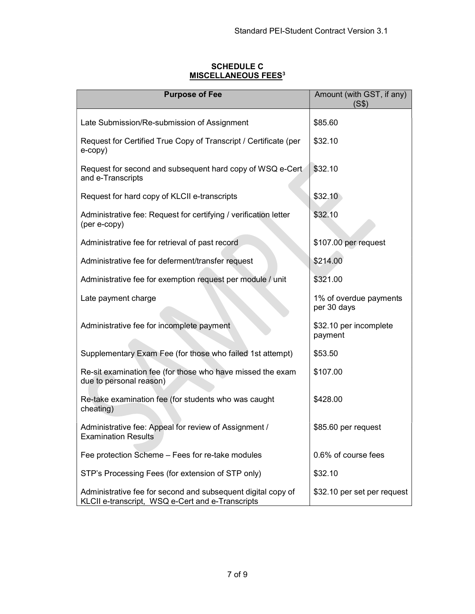### SCHEDULE C **MISCELLANEOUS FEES<sup>3</sup>**

| <b>Purpose of Fee</b>                                                                                            | Amount (with GST, if any)<br>(S\$)    |
|------------------------------------------------------------------------------------------------------------------|---------------------------------------|
| Late Submission/Re-submission of Assignment                                                                      | \$85.60                               |
| Request for Certified True Copy of Transcript / Certificate (per<br>e-copy)                                      | \$32.10                               |
| Request for second and subsequent hard copy of WSQ e-Cert<br>and e-Transcripts                                   | \$32.10                               |
| Request for hard copy of KLCII e-transcripts                                                                     | \$32.10                               |
| Administrative fee: Request for certifying / verification letter<br>(per e-copy)                                 | \$32.10                               |
| Administrative fee for retrieval of past record                                                                  | \$107.00 per request                  |
| Administrative fee for deferment/transfer request                                                                | \$214.00                              |
| Administrative fee for exemption request per module / unit                                                       | \$321.00                              |
| Late payment charge                                                                                              | 1% of overdue payments<br>per 30 days |
| Administrative fee for incomplete payment                                                                        | \$32.10 per incomplete<br>payment     |
| Supplementary Exam Fee (for those who failed 1st attempt)                                                        | \$53.50                               |
| Re-sit examination fee (for those who have missed the exam<br>due to personal reason)                            | \$107.00                              |
| Re-take examination fee (for students who was caught<br>cheating)                                                | \$428.00                              |
| Administrative fee: Appeal for review of Assignment /<br><b>Examination Results</b>                              | \$85.60 per request                   |
| Fee protection Scheme – Fees for re-take modules                                                                 | 0.6% of course fees                   |
| STP's Processing Fees (for extension of STP only)                                                                | \$32.10                               |
| Administrative fee for second and subsequent digital copy of<br>KLCII e-transcript, WSQ e-Cert and e-Transcripts | \$32.10 per set per request           |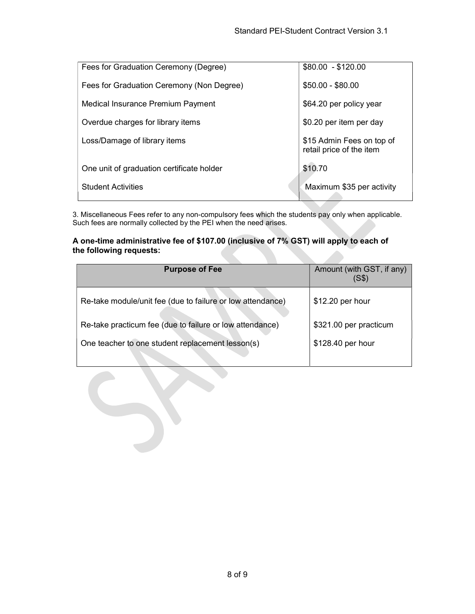| Fees for Graduation Ceremony (Degree)     | $$80.00 - $120.00$                                    |
|-------------------------------------------|-------------------------------------------------------|
| Fees for Graduation Ceremony (Non Degree) | $$50.00 - $80.00$                                     |
| Medical Insurance Premium Payment         | \$64.20 per policy year                               |
| Overdue charges for library items         | \$0.20 per item per day                               |
| Loss/Damage of library items              | \$15 Admin Fees on top of<br>retail price of the item |
| One unit of graduation certificate holder | \$10.70                                               |
| <b>Student Activities</b>                 | Maximum \$35 per activity                             |

3. Miscellaneous Fees refer to any non-compulsory fees which the students pay only when applicable. Such fees are normally collected by the PEI when the need arises.

#### A one-time administrative fee of \$107.00 (inclusive of 7% GST) will apply to each of the following requests:

| <b>Purpose of Fee</b>                                      | Amount (with GST, if any)<br>(S\$) |
|------------------------------------------------------------|------------------------------------|
| Re-take module/unit fee (due to failure or low attendance) | \$12.20 per hour                   |
| Re-take practicum fee (due to failure or low attendance)   | \$321.00 per practicum             |
| One teacher to one student replacement lesson(s)           | \$128.40 per hour                  |